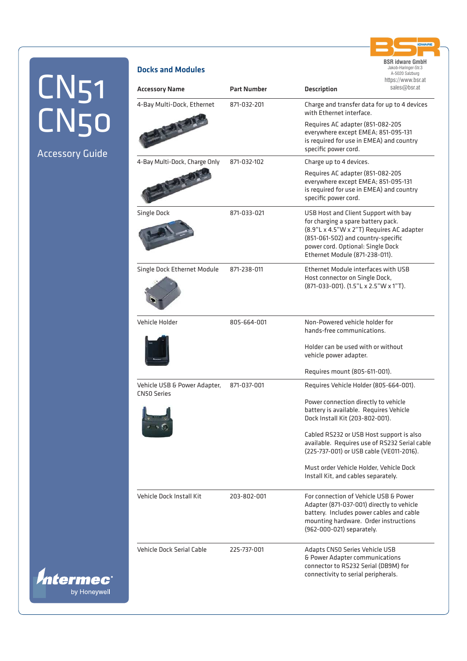Accessory Guide

*Intermect* 

by Honeywell

| <b>Accessory Name</b>                              | <b>Part Number</b> | <b>Description</b>                                                                                                                                                                                                                   | sales@bsr.at |
|----------------------------------------------------|--------------------|--------------------------------------------------------------------------------------------------------------------------------------------------------------------------------------------------------------------------------------|--------------|
| 4-Bay Multi-Dock, Ethernet                         | 871-032-201        | Charge and transfer data for up to 4 devices<br>with Ethernet interface.                                                                                                                                                             |              |
|                                                    |                    | Requires AC adapter (851-082-205<br>everywhere except EMEA; 851-095-131<br>is required for use in EMEA) and country<br>specific power cord.                                                                                          |              |
| 4-Bay Multi-Dock, Charge Only                      | 871-032-102        | Charge up to 4 devices.                                                                                                                                                                                                              |              |
|                                                    |                    | Requires AC adapter (851-082-205<br>everywhere except EMEA; 851-095-131<br>is required for use in EMEA) and country<br>specific power cord.                                                                                          |              |
| <b>Single Dock</b>                                 | 871-033-021        | USB Host and Client Support with bay<br>for charging a spare battery pack.<br>(8.9"L x 4.5"W x 2"T) Requires AC adapter<br>(851-061-502) and country-specific<br>power cord. Optional: Single Dock<br>Ethernet Module (871-238-011). |              |
| Single Dock Ethernet Module                        | 871-238-011        | <b>Ethernet Module interfaces with USB</b><br>Host connector on Single Dock,<br>(871-033-001). (1.5"L x 2.5"W x 1"T).                                                                                                                |              |
| Vehicle Holder                                     | 805-664-001        | Non-Powered vehicle holder for<br>hands-free communications.                                                                                                                                                                         |              |
|                                                    |                    | Holder can be used with or without<br>vehicle power adapter.                                                                                                                                                                         |              |
|                                                    |                    | Requires mount (805-611-001).                                                                                                                                                                                                        |              |
| Vehicle USB & Power Adapter,<br><b>CN50 Series</b> | 871-037-001        | Requires Vehicle Holder (805-664-001).                                                                                                                                                                                               |              |
|                                                    |                    | Power connection directly to vehicle<br>battery is available. Requires Vehicle<br>Dock Install Kit (203-802-001).                                                                                                                    |              |
|                                                    |                    | Cabled RS232 or USB Host support is also<br>available. Requires use of RS232 Serial cable<br>(225-737-001) or USB cable (VE011-2016).                                                                                                |              |
|                                                    |                    | Must order Vehicle Holder, Vehicle Dock<br>Install Kit, and cables separately.                                                                                                                                                       |              |
| Vehicle Dock Install Kit                           | 203-802-001        | For connection of Vehicle USB & Power<br>Adapter (871-037-001) directly to vehicle<br>battery. Includes power cables and cable<br>mounting hardware. Order instructions<br>(962-000-021) separately.                                 |              |
| <b>Vehicle Dock Serial Cable</b>                   | 225-737-001        | Adapts CN50 Series Vehicle USB<br>& Power Adapter communications<br>connector to RS232 Serial (DB9M) for<br>connectivity to serial peripherals.                                                                                      |              |

**BSR idware GmbH** Jakob-Haringer-Str.3 A-5020 Salzburg https://www.bsr.at

**RE** 

Docks and Modules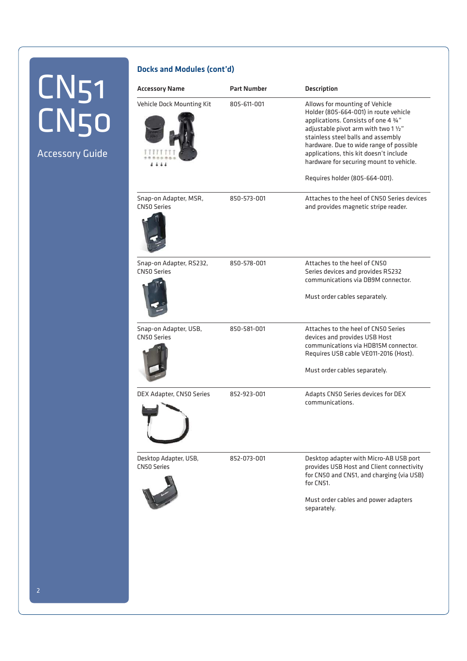Accessory Guide

#### Docks and Modules (cont'd)

| <b>Accessory Name</b>                         | <b>Part Number</b> | <b>Description</b>                                                                                                                                                                                                                                                                                                            |
|-----------------------------------------------|--------------------|-------------------------------------------------------------------------------------------------------------------------------------------------------------------------------------------------------------------------------------------------------------------------------------------------------------------------------|
| Vehicle Dock Mounting Kit                     | 805-611-001        | Allows for mounting of Vehicle<br>Holder (805-664-001) in route vehicle<br>applications. Consists of one 4 3/4"<br>adjustable pivot arm with two 1 1/2"<br>stainless steel balls and assembly<br>hardware. Due to wide range of possible<br>applications, this kit doesn't include<br>hardware for securing mount to vehicle. |
|                                               |                    | Requires holder (805-664-001).                                                                                                                                                                                                                                                                                                |
| Snap-on Adapter, MSR,<br><b>CN50 Series</b>   | 850-573-001        | Attaches to the heel of CN50 Series devices<br>and provides magnetic stripe reader.                                                                                                                                                                                                                                           |
| Snap-on Adapter, RS232,<br><b>CN50 Series</b> | 850-578-001        | Attaches to the heel of CN50<br>Series devices and provides RS232<br>communications via DB9M connector.<br>Must order cables separately.                                                                                                                                                                                      |
| Snap-on Adapter, USB,<br><b>CN50 Series</b>   | 850-581-001        | Attaches to the heel of CN50 Series<br>devices and provides USB Host<br>communications via HDB15M connector.<br>Requires USB cable VE011-2016 (Host).<br>Must order cables separately.                                                                                                                                        |
| DEX Adapter, CN50 Series                      | 852-923-001        | Adapts CN50 Series devices for DEX<br>communications.                                                                                                                                                                                                                                                                         |
| Desktop Adapter, USB,<br><b>CN50 Series</b>   | 852-073-001        | Desktop adapter with Micro-AB USB port<br>provides USB Host and Client connectivity<br>for CN50 and CN51, and charging (via USB)<br>for CN51.<br>Must order cables and power adapters<br>separately.                                                                                                                          |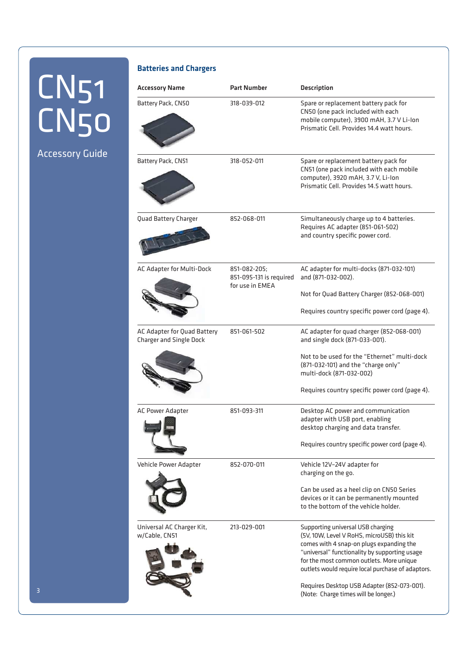### Accessory Guide

| <b>Batteries and Chargers</b>                                 |                                                            |                                                                                                                                                                                                                                                                               |
|---------------------------------------------------------------|------------------------------------------------------------|-------------------------------------------------------------------------------------------------------------------------------------------------------------------------------------------------------------------------------------------------------------------------------|
| <b>Accessory Name</b>                                         | <b>Part Number</b>                                         | <b>Description</b>                                                                                                                                                                                                                                                            |
| Battery Pack, CN50                                            | 318-039-012                                                | Spare or replacement battery pack for<br>CN50 (one pack included with each<br>mobile computer), 3900 mAH, 3.7 V Li-lon<br>Prismatic Cell. Provides 14.4 watt hours.                                                                                                           |
| Battery Pack, CN51                                            | 318-052-011                                                | Spare or replacement battery pack for<br>CN51 (one pack included with each mobile<br>computer), 3920 mAH, 3.7 V, Li-lon<br>Prismatic Cell. Provides 14.5 watt hours.                                                                                                          |
| Quad Battery Charger                                          | 852-068-011                                                | Simultaneously charge up to 4 batteries.<br>Requires AC adapter (851-061-502)<br>and country specific power cord.                                                                                                                                                             |
| AC Adapter for Multi-Dock                                     | 851-082-205:<br>851-095-131 is required<br>for use in EMEA | AC adapter for multi-docks (871-032-101)<br>and (871-032-002).                                                                                                                                                                                                                |
|                                                               |                                                            | Not for Quad Battery Charger (852-068-001)                                                                                                                                                                                                                                    |
|                                                               |                                                            | Requires country specific power cord (page 4).                                                                                                                                                                                                                                |
| AC Adapter for Quad Battery<br><b>Charger and Single Dock</b> | 851-061-502                                                | AC adapter for quad charger (852-068-001)<br>and single dock (871-033-001).                                                                                                                                                                                                   |
|                                                               |                                                            | Not to be used for the "Ethernet" multi-dock<br>(871-032-101) and the "charge only"<br>multi-dock (871-032-002)                                                                                                                                                               |
|                                                               |                                                            | Requires country specific power cord (page 4).                                                                                                                                                                                                                                |
| AC Power Adapter                                              | 851-093-311                                                | Desktop AC power and communication<br>adapter with USB port, enabling<br>desktop charging and data transfer.                                                                                                                                                                  |
|                                                               |                                                            | Requires country specific power cord (page 4).                                                                                                                                                                                                                                |
| Vehicle Power Adapter                                         | 852-070-011                                                | Vehicle 12V-24V adapter for<br>charging on the go.                                                                                                                                                                                                                            |
|                                                               |                                                            | Can be used as a heel clip on CN50 Series<br>devices or it can be permanently mounted<br>to the bottom of the vehicle holder.                                                                                                                                                 |
| Universal AC Charger Kit,<br>w/Cable, CN51                    | 213-029-001                                                | Supporting universal USB charging<br>(5V, 10W, Level V RoHS, microUSB) this kit<br>comes with 4 snap-on plugs expanding the<br>"universal" functionality by supporting usage<br>for the most common outlets. More unique<br>outlets would require local purchase of adaptors. |
|                                                               |                                                            | Requires Desktop USB Adapter (852-073-001).<br>(Note: Charge times will be longer.)                                                                                                                                                                                           |

 $\overline{\phantom{0}}$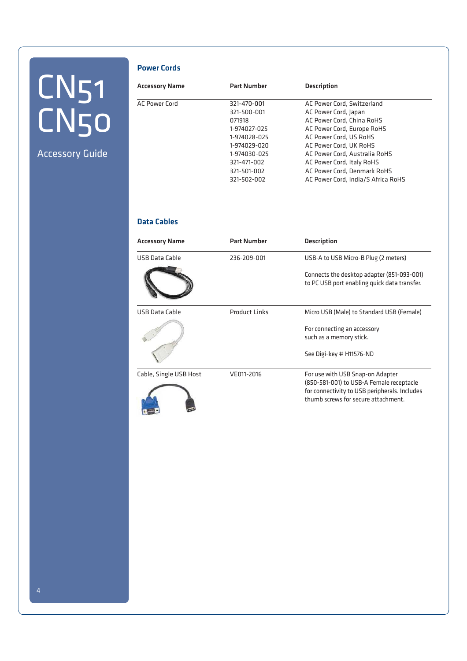Accessory Guide

#### Power Cords

| <b>Accessory Name</b> | <b>Part Number</b> | <b>Description</b>                 |
|-----------------------|--------------------|------------------------------------|
| <b>AC Power Cord</b>  | 321-470-001        | AC Power Cord, Switzerland         |
|                       | 321-500-001        | AC Power Cord, Japan               |
|                       | 071918             | AC Power Cord, China RoHS          |
|                       | 1-974027-025       | AC Power Cord, Europe RoHS         |
|                       | 1-974028-025       | AC Power Cord, US RoHS             |
|                       | 1-974029-020       | AC Power Cord, UK RoHS             |
|                       | 1-974030-025       | AC Power Cord, Australia RoHS      |
|                       | 321-471-002        | AC Power Cord, Italy RoHS          |
|                       | 321-501-002        | AC Power Cord, Denmark RoHS        |
|                       | 321-502-002        | AC Power Cord, India/S Africa RoHS |

### Data Cables

| <b>Accessory Name</b>  | <b>Part Number</b>   | <b>Description</b>                                                                                                                                                   |
|------------------------|----------------------|----------------------------------------------------------------------------------------------------------------------------------------------------------------------|
| <b>USB Data Cable</b>  | 236-209-001          | USB-A to USB Micro-B Plug (2 meters)                                                                                                                                 |
|                        |                      | Connects the desktop adapter (851-093-001)<br>to PC USB port enabling quick data transfer.                                                                           |
| <b>USB Data Cable</b>  | <b>Product Links</b> | Micro USB (Male) to Standard USB (Female)                                                                                                                            |
|                        |                      | For connecting an accessory<br>such as a memory stick.                                                                                                               |
|                        |                      | See Digi-key # H11576-ND                                                                                                                                             |
| Cable, Single USB Host | VE011-2016           | For use with USB Snap-on Adapter<br>(850-581-001) to USB-A Female receptacle<br>for connectivity to USB peripherals. Includes<br>thumb screws for secure attachment. |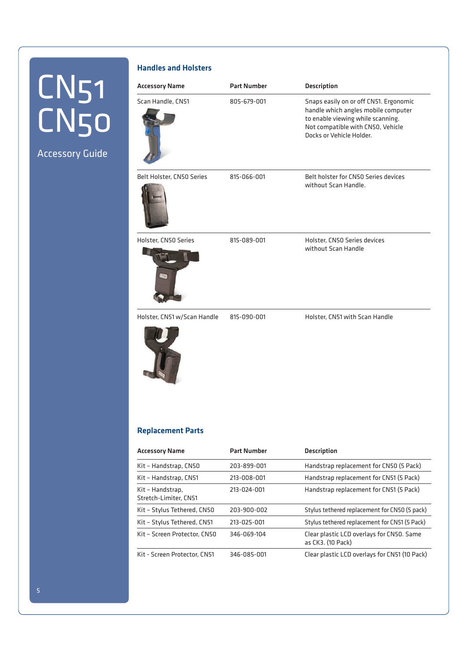### Accessory Guide

#### Handles and Holsters

| <b>Accessory Name</b>       | <b>Part Number</b> | <b>Description</b>                                                                                                                                                                  |
|-----------------------------|--------------------|-------------------------------------------------------------------------------------------------------------------------------------------------------------------------------------|
| Scan Handle, CN51           | 805-679-001        | Snaps easily on or off CN51. Ergonomic<br>handle which angles mobile computer<br>to enable viewing while scanning.<br>Not compatible with CN50, Vehicle<br>Docks or Vehicle Holder. |
| Belt Holster, CN50 Series   | 815-066-001        | Belt holster for CN50 Series devices<br>without Scan Handle.                                                                                                                        |
| Holster, CN50 Series<br>U   | 815-089-001        | Holster, CN50 Series devices<br>without Scan Handle                                                                                                                                 |
| Holster, CN51 w/Scan Handle | 815-090-001        | Holster, CN51 with Scan Handle                                                                                                                                                      |

#### Replacement Parts

| Accessory Name                            | <b>Part Number</b> | <b>Description</b>                                             |
|-------------------------------------------|--------------------|----------------------------------------------------------------|
| Kit - Handstrap, CN50                     | 203-899-001        | Handstrap replacement for CN50 (5 Pack)                        |
| Kit - Handstrap, CN51                     | 213-008-001        | Handstrap replacement for CN51 (5 Pack)                        |
| Kit - Handstrap,<br>Stretch-Limiter, CN51 | 213-024-001        | Handstrap replacement for CN51 (5 Pack)                        |
| Kit - Stylus Tethered, CN50               | 203-900-002        | Stylus tethered replacement for CN50 (5 pack)                  |
| Kit - Stylus Tethered, CN51               | 213-025-001        | Stylus tethered replacement for CN51 (5 Pack)                  |
| Kit - Screen Protector, CN50              | 346-069-104        | Clear plastic LCD overlays for CN50. Same<br>as CK3. (10 Pack) |
| Kit - Screen Protector. CN51              | 346-085-001        | Clear plastic LCD overlays for CN51 (10 Pack)                  |